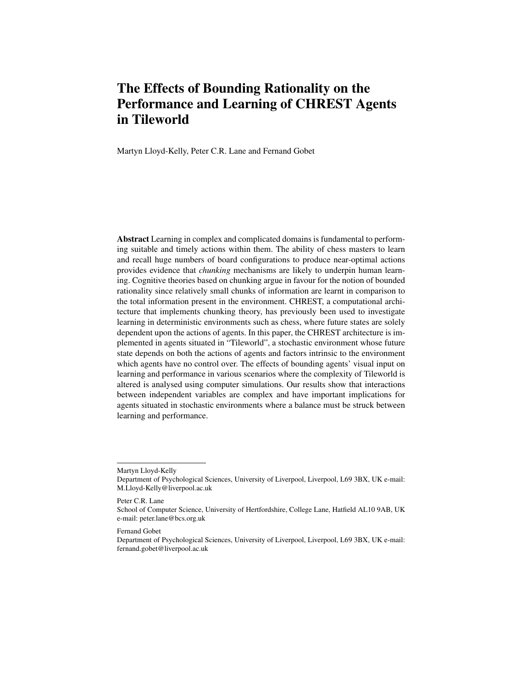# The Effects of Bounding Rationality on the Performance and Learning of CHREST Agents in Tileworld

Martyn Lloyd-Kelly, Peter C.R. Lane and Fernand Gobet

Abstract Learning in complex and complicated domains is fundamental to performing suitable and timely actions within them. The ability of chess masters to learn and recall huge numbers of board configurations to produce near-optimal actions provides evidence that *chunking* mechanisms are likely to underpin human learning. Cognitive theories based on chunking argue in favour for the notion of bounded rationality since relatively small chunks of information are learnt in comparison to the total information present in the environment. CHREST, a computational architecture that implements chunking theory, has previously been used to investigate learning in deterministic environments such as chess, where future states are solely dependent upon the actions of agents. In this paper, the CHREST architecture is implemented in agents situated in "Tileworld", a stochastic environment whose future state depends on both the actions of agents and factors intrinsic to the environment which agents have no control over. The effects of bounding agents' visual input on learning and performance in various scenarios where the complexity of Tileworld is altered is analysed using computer simulations. Our results show that interactions between independent variables are complex and have important implications for agents situated in stochastic environments where a balance must be struck between learning and performance.

Peter C.R. Lane

Martyn Lloyd-Kelly

Department of Psychological Sciences, University of Liverpool, Liverpool, L69 3BX, UK e-mail: M.Lloyd-Kelly@liverpool.ac.uk

School of Computer Science, University of Hertfordshire, College Lane, Hatfield AL10 9AB, UK e-mail: peter.lane@bcs.org.uk

Fernand Gobet

Department of Psychological Sciences, University of Liverpool, Liverpool, L69 3BX, UK e-mail: fernand.gobet@liverpool.ac.uk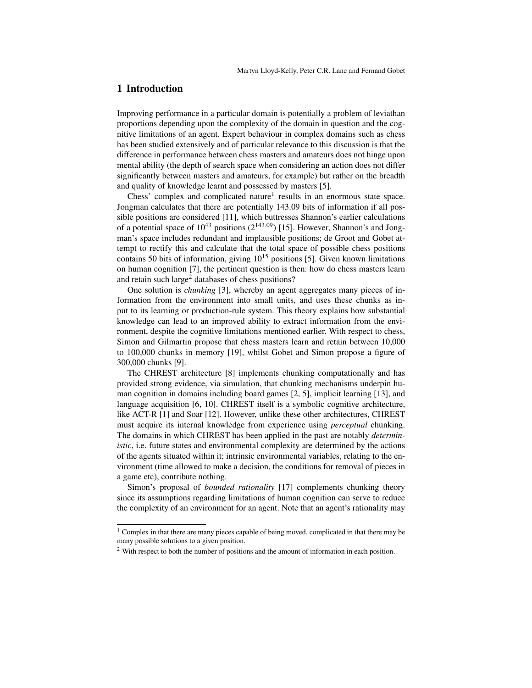# 1 Introduction

Improving performance in a particular domain is potentially a problem of leviathan proportions depending upon the complexity of the domain in question and the cognitive limitations of an agent. Expert behaviour in complex domains such as chess has been studied extensively and of particular relevance to this discussion is that the difference in performance between chess masters and amateurs does not hinge upon mental ability (the depth of search space when considering an action does not differ significantly between masters and amateurs, for example) but rather on the breadth and quality of knowledge learnt and possessed by masters [5].

Chess' complex and complicated nature<sup>1</sup> results in an enormous state space. Jongman calculates that there are potentially 143.09 bits of information if all possible positions are considered [11], which buttresses Shannon's earlier calculations of a potential space of  $10^{43}$  positions ( $2^{143.09}$ ) [15]. However, Shannon's and Jongman's space includes redundant and implausible positions; de Groot and Gobet attempt to rectify this and calculate that the total space of possible chess positions contains 50 bits of information, giving  $10^{15}$  positions [5]. Given known limitations on human cognition [7], the pertinent question is then: how do chess masters learn and retain such  $\text{large}^2$  databases of chess positions?

One solution is *chunking* [3], whereby an agent aggregates many pieces of information from the environment into small units, and uses these chunks as input to its learning or production-rule system. This theory explains how substantial knowledge can lead to an improved ability to extract information from the environment, despite the cognitive limitations mentioned earlier. With respect to chess, Simon and Gilmartin propose that chess masters learn and retain between 10,000 to 100,000 chunks in memory [19], whilst Gobet and Simon propose a figure of 300,000 chunks [9].

The CHREST architecture [8] implements chunking computationally and has provided strong evidence, via simulation, that chunking mechanisms underpin human cognition in domains including board games [2, 5], implicit learning [13], and language acquisition [6, 10]. CHREST itself is a symbolic cognitive architecture, like ACT-R [1] and Soar [12]. However, unlike these other architectures, CHREST must acquire its internal knowledge from experience using *perceptual* chunking. The domains in which CHREST has been applied in the past are notably *deterministic*, i.e. future states and environmental complexity are determined by the actions of the agents situated within it; intrinsic environmental variables, relating to the environment (time allowed to make a decision, the conditions for removal of pieces in a game etc), contribute nothing.

Simon's proposal of *bounded rationality* [17] complements chunking theory since its assumptions regarding limitations of human cognition can serve to reduce the complexity of an environment for an agent. Note that an agent's rationality may

<sup>&</sup>lt;sup>1</sup> Complex in that there are many pieces capable of being moved, complicated in that there may be many possible solutions to a given position.

<sup>&</sup>lt;sup>2</sup> With respect to both the number of positions and the amount of information in each position.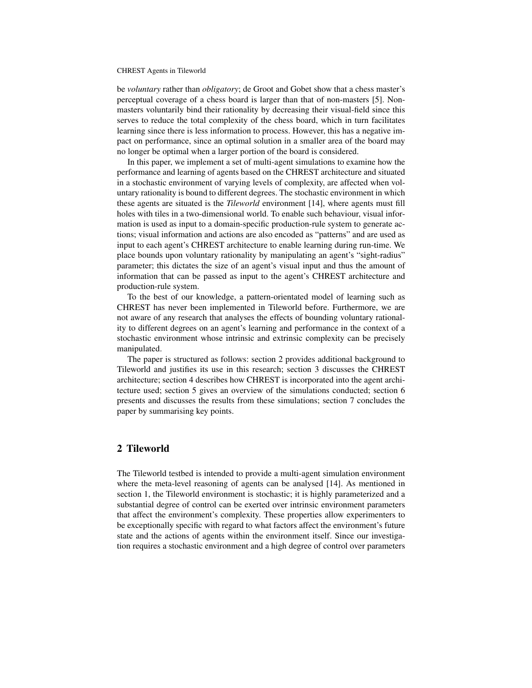be *voluntary* rather than *obligatory*; de Groot and Gobet show that a chess master's perceptual coverage of a chess board is larger than that of non-masters [5]. Nonmasters voluntarily bind their rationality by decreasing their visual-field since this serves to reduce the total complexity of the chess board, which in turn facilitates learning since there is less information to process. However, this has a negative impact on performance, since an optimal solution in a smaller area of the board may no longer be optimal when a larger portion of the board is considered.

In this paper, we implement a set of multi-agent simulations to examine how the performance and learning of agents based on the CHREST architecture and situated in a stochastic environment of varying levels of complexity, are affected when voluntary rationality is bound to different degrees. The stochastic environment in which these agents are situated is the *Tileworld* environment [14], where agents must fill holes with tiles in a two-dimensional world. To enable such behaviour, visual information is used as input to a domain-specific production-rule system to generate actions; visual information and actions are also encoded as "patterns" and are used as input to each agent's CHREST architecture to enable learning during run-time. We place bounds upon voluntary rationality by manipulating an agent's "sight-radius" parameter; this dictates the size of an agent's visual input and thus the amount of information that can be passed as input to the agent's CHREST architecture and production-rule system.

To the best of our knowledge, a pattern-orientated model of learning such as CHREST has never been implemented in Tileworld before. Furthermore, we are not aware of any research that analyses the effects of bounding voluntary rationality to different degrees on an agent's learning and performance in the context of a stochastic environment whose intrinsic and extrinsic complexity can be precisely manipulated.

The paper is structured as follows: section 2 provides additional background to Tileworld and justifies its use in this research; section 3 discusses the CHREST architecture; section 4 describes how CHREST is incorporated into the agent architecture used; section 5 gives an overview of the simulations conducted; section 6 presents and discusses the results from these simulations; section 7 concludes the paper by summarising key points.

## 2 Tileworld

The Tileworld testbed is intended to provide a multi-agent simulation environment where the meta-level reasoning of agents can be analysed [14]. As mentioned in section 1, the Tileworld environment is stochastic; it is highly parameterized and a substantial degree of control can be exerted over intrinsic environment parameters that affect the environment's complexity. These properties allow experimenters to be exceptionally specific with regard to what factors affect the environment's future state and the actions of agents within the environment itself. Since our investigation requires a stochastic environment and a high degree of control over parameters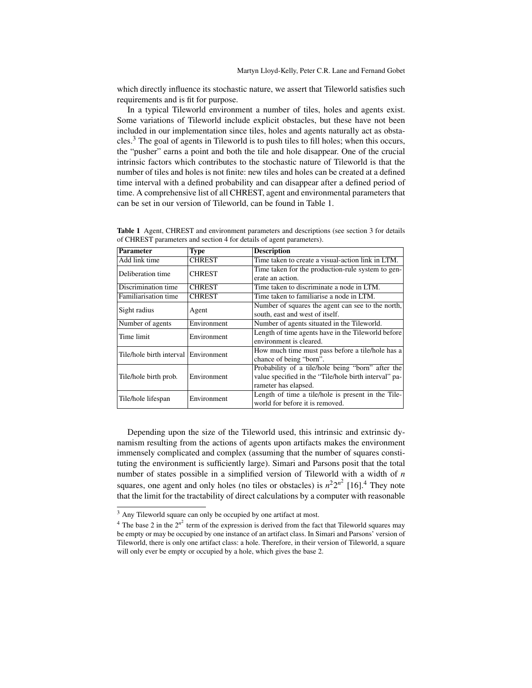which directly influence its stochastic nature, we assert that Tileworld satisfies such requirements and is fit for purpose.

In a typical Tileworld environment a number of tiles, holes and agents exist. Some variations of Tileworld include explicit obstacles, but these have not been included in our implementation since tiles, holes and agents naturally act as obstacles. $3$  The goal of agents in Tileworld is to push tiles to fill holes; when this occurs, the "pusher" earns a point and both the tile and hole disappear. One of the crucial intrinsic factors which contributes to the stochastic nature of Tileworld is that the number of tiles and holes is not finite: new tiles and holes can be created at a defined time interval with a defined probability and can disappear after a defined period of time. A comprehensive list of all CHREST, agent and environmental parameters that can be set in our version of Tileworld, can be found in Table 1.

Table 1 Agent, CHREST and environment parameters and descriptions (see section 3 for details of CHREST parameters and section 4 for details of agent parameters).

| <b>Parameter</b>                     | <b>Type</b>   | <b>Description</b>                                                                                                                 |
|--------------------------------------|---------------|------------------------------------------------------------------------------------------------------------------------------------|
| Add link time                        | <b>CHREST</b> | Time taken to create a visual-action link in LTM.                                                                                  |
| Deliberation time                    | <b>CHREST</b> | Time taken for the production-rule system to gen-<br>erate an action.                                                              |
| Discrimination time                  | <b>CHREST</b> | Time taken to discriminate a node in LTM.                                                                                          |
| Familiarisation time                 | <b>CHREST</b> | Time taken to familiarise a node in LTM.                                                                                           |
| Sight radius                         | Agent         | Number of squares the agent can see to the north,<br>south, east and west of itself.                                               |
| Number of agents                     | Environment   | Number of agents situated in the Tileworld.                                                                                        |
| Time limit                           | Environment   | Length of time agents have in the Tileworld before<br>environment is cleared.                                                      |
| Tile/hole birth interval Environment |               | How much time must pass before a tile/hole has a<br>chance of being "born".                                                        |
| Tile/hole birth prob.                | Environment   | Probability of a tile/hole being "born" after the<br>value specified in the "Tile/hole birth interval" pa-<br>rameter has elapsed. |
| Tile/hole lifespan                   | Environment   | Length of time a tile/hole is present in the Tile-<br>world for before it is removed.                                              |

Depending upon the size of the Tileworld used, this intrinsic and extrinsic dynamism resulting from the actions of agents upon artifacts makes the environment immensely complicated and complex (assuming that the number of squares constituting the environment is sufficiently large). Simari and Parsons posit that the total number of states possible in a simplified version of Tileworld with a width of *n* squares, one agent and only holes (no tiles or obstacles) is  $n^2 2^{n^2}$  [16].<sup>4</sup> They note that the limit for the tractability of direct calculations by a computer with reasonable

<sup>&</sup>lt;sup>3</sup> Any Tileworld square can only be occupied by one artifact at most.

 $4$  The base 2 in the  $2^{n^2}$  term of the expression is derived from the fact that Tileworld squares may be empty or may be occupied by one instance of an artifact class. In Simari and Parsons' version of Tileworld, there is only one artifact class: a hole. Therefore, in their version of Tileworld, a square will only ever be empty or occupied by a hole, which gives the base 2.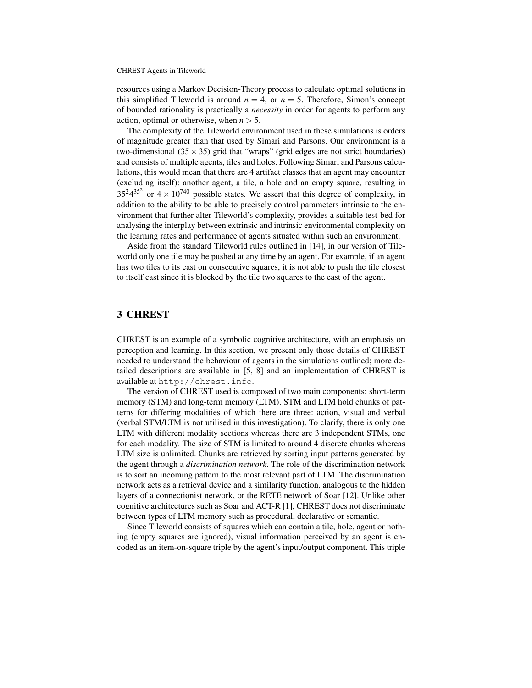resources using a Markov Decision-Theory process to calculate optimal solutions in this simplified Tileworld is around  $n = 4$ , or  $n = 5$ . Therefore, Simon's concept of bounded rationality is practically a *necessity* in order for agents to perform any action, optimal or otherwise, when  $n > 5$ .

The complexity of the Tileworld environment used in these simulations is orders of magnitude greater than that used by Simari and Parsons. Our environment is a two-dimensional  $(35 \times 35)$  grid that "wraps" (grid edges are not strict boundaries) and consists of multiple agents, tiles and holes. Following Simari and Parsons calculations, this would mean that there are 4 artifact classes that an agent may encounter (excluding itself): another agent, a tile, a hole and an empty square, resulting in  $35^24^{35^2}$  or  $4 \times 10^{740}$  possible states. We assert that this degree of complexity, in addition to the ability to be able to precisely control parameters intrinsic to the environment that further alter Tileworld's complexity, provides a suitable test-bed for analysing the interplay between extrinsic and intrinsic environmental complexity on the learning rates and performance of agents situated within such an environment.

Aside from the standard Tileworld rules outlined in [14], in our version of Tileworld only one tile may be pushed at any time by an agent. For example, if an agent has two tiles to its east on consecutive squares, it is not able to push the tile closest to itself east since it is blocked by the tile two squares to the east of the agent.

# 3 CHREST

CHREST is an example of a symbolic cognitive architecture, with an emphasis on perception and learning. In this section, we present only those details of CHREST needed to understand the behaviour of agents in the simulations outlined; more detailed descriptions are available in [5, 8] and an implementation of CHREST is available at http://chrest.info.

The version of CHREST used is composed of two main components: short-term memory (STM) and long-term memory (LTM). STM and LTM hold chunks of patterns for differing modalities of which there are three: action, visual and verbal (verbal STM/LTM is not utilised in this investigation). To clarify, there is only one LTM with different modality sections whereas there are 3 independent STMs, one for each modality. The size of STM is limited to around 4 discrete chunks whereas LTM size is unlimited. Chunks are retrieved by sorting input patterns generated by the agent through a *discrimination network*. The role of the discrimination network is to sort an incoming pattern to the most relevant part of LTM. The discrimination network acts as a retrieval device and a similarity function, analogous to the hidden layers of a connectionist network, or the RETE network of Soar [12]. Unlike other cognitive architectures such as Soar and ACT-R [1], CHREST does not discriminate between types of LTM memory such as procedural, declarative or semantic.

Since Tileworld consists of squares which can contain a tile, hole, agent or nothing (empty squares are ignored), visual information perceived by an agent is encoded as an item-on-square triple by the agent's input/output component. This triple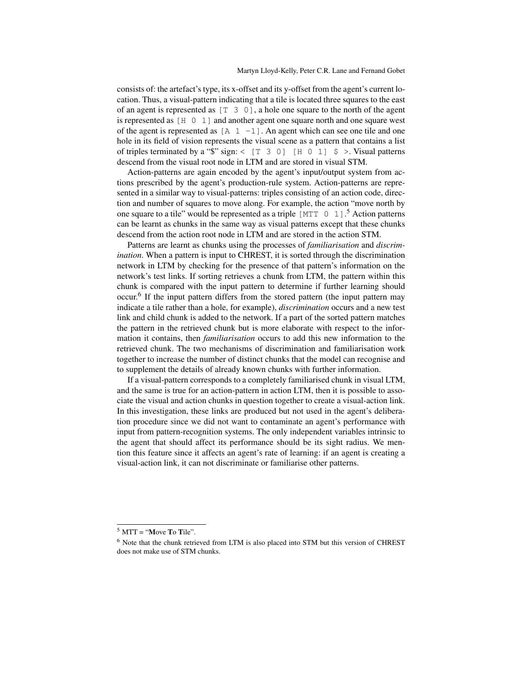consists of: the artefact's type, its x-offset and its y-offset from the agent's current location. Thus, a visual-pattern indicating that a tile is located three squares to the east of an agent is represented as [T 3 0], a hole one square to the north of the agent is represented as  $[H \ 0 \ 1]$  and another agent one square north and one square west of the agent is represented as  $[A \ 1 \ -1]$ . An agent which can see one tile and one hole in its field of vision represents the visual scene as a pattern that contains a list of triples terminated by a "\$" sign: <  $[T \ 3 \ 0]$   $[H \ 0 \ 1]$  \$ >. Visual patterns descend from the visual root node in LTM and are stored in visual STM.

Action-patterns are again encoded by the agent's input/output system from actions prescribed by the agent's production-rule system. Action-patterns are represented in a similar way to visual-patterns: triples consisting of an action code, direction and number of squares to move along. For example, the action "move north by one square to a tile" would be represented as a triple  $[MTT \ 0 \ 1]$ .<sup>5</sup> Action patterns can be learnt as chunks in the same way as visual patterns except that these chunks descend from the action root node in LTM and are stored in the action STM.

Patterns are learnt as chunks using the processes of *familiarisation* and *discrimination*. When a pattern is input to CHREST, it is sorted through the discrimination network in LTM by checking for the presence of that pattern's information on the network's test links. If sorting retrieves a chunk from LTM, the pattern within this chunk is compared with the input pattern to determine if further learning should occur.<sup>6</sup> If the input pattern differs from the stored pattern (the input pattern may indicate a tile rather than a hole, for example), *discrimination* occurs and a new test link and child chunk is added to the network. If a part of the sorted pattern matches the pattern in the retrieved chunk but is more elaborate with respect to the information it contains, then *familiarisation* occurs to add this new information to the retrieved chunk. The two mechanisms of discrimination and familiarisation work together to increase the number of distinct chunks that the model can recognise and to supplement the details of already known chunks with further information.

If a visual-pattern corresponds to a completely familiarised chunk in visual LTM, and the same is true for an action-pattern in action LTM, then it is possible to associate the visual and action chunks in question together to create a visual-action link. In this investigation, these links are produced but not used in the agent's deliberation procedure since we did not want to contaminate an agent's performance with input from pattern-recognition systems. The only independent variables intrinsic to the agent that should affect its performance should be its sight radius. We mention this feature since it affects an agent's rate of learning: if an agent is creating a visual-action link, it can not discriminate or familiarise other patterns.

 $5$  MTT = "Move To Tile".

<sup>6</sup> Note that the chunk retrieved from LTM is also placed into STM but this version of CHREST does not make use of STM chunks.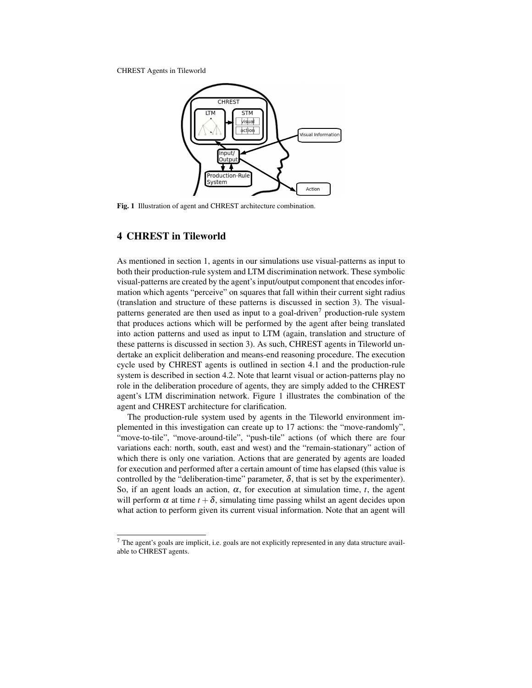

Fig. 1 Illustration of agent and CHREST architecture combination.

# 4 CHREST in Tileworld

As mentioned in section 1, agents in our simulations use visual-patterns as input to both their production-rule system and LTM discrimination network. These symbolic visual-patterns are created by the agent's input/output component that encodes information which agents "perceive" on squares that fall within their current sight radius (translation and structure of these patterns is discussed in section 3). The visualpatterns generated are then used as input to a goal-driven<sup>7</sup> production-rule system that produces actions which will be performed by the agent after being translated into action patterns and used as input to LTM (again, translation and structure of these patterns is discussed in section 3). As such, CHREST agents in Tileworld undertake an explicit deliberation and means-end reasoning procedure. The execution cycle used by CHREST agents is outlined in section 4.1 and the production-rule system is described in section 4.2. Note that learnt visual or action-patterns play no role in the deliberation procedure of agents, they are simply added to the CHREST agent's LTM discrimination network. Figure 1 illustrates the combination of the agent and CHREST architecture for clarification.

The production-rule system used by agents in the Tileworld environment implemented in this investigation can create up to 17 actions: the "move-randomly", "move-to-tile", "move-around-tile", "push-tile" actions (of which there are four variations each: north, south, east and west) and the "remain-stationary" action of which there is only one variation. Actions that are generated by agents are loaded for execution and performed after a certain amount of time has elapsed (this value is controlled by the "deliberation-time" parameter,  $\delta$ , that is set by the experimenter). So, if an agent loads an action,  $\alpha$ , for execution at simulation time, *t*, the agent will perform  $\alpha$  at time  $t + \delta$ , simulating time passing whilst an agent decides upon what action to perform given its current visual information. Note that an agent will

<sup>7</sup> The agent's goals are implicit, i.e. goals are not explicitly represented in any data structure available to CHREST agents.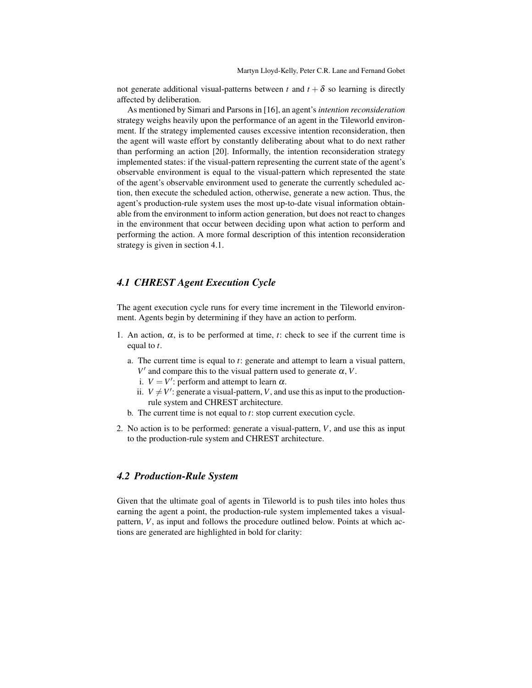not generate additional visual-patterns between *t* and  $t + \delta$  so learning is directly affected by deliberation.

As mentioned by Simari and Parsons in [16], an agent's *intention reconsideration* strategy weighs heavily upon the performance of an agent in the Tileworld environment. If the strategy implemented causes excessive intention reconsideration, then the agent will waste effort by constantly deliberating about what to do next rather than performing an action [20]. Informally, the intention reconsideration strategy implemented states: if the visual-pattern representing the current state of the agent's observable environment is equal to the visual-pattern which represented the state of the agent's observable environment used to generate the currently scheduled action, then execute the scheduled action, otherwise, generate a new action. Thus, the agent's production-rule system uses the most up-to-date visual information obtainable from the environment to inform action generation, but does not react to changes in the environment that occur between deciding upon what action to perform and performing the action. A more formal description of this intention reconsideration strategy is given in section 4.1.

# *4.1 CHREST Agent Execution Cycle*

The agent execution cycle runs for every time increment in the Tileworld environment. Agents begin by determining if they have an action to perform.

- 1. An action,  $\alpha$ , is to be performed at time, *t*: check to see if the current time is equal to *t*.
	- a. The current time is equal to *t*: generate and attempt to learn a visual pattern,  $V'$  and compare this to the visual pattern used to generate  $\alpha$ , *V*.
		- i.  $V = V'$ : perform and attempt to learn  $\alpha$ .
		- ii.  $V \neq V'$ : generate a visual-pattern, *V*, and use this as input to the productionrule system and CHREST architecture.
	- b. The current time is not equal to *t*: stop current execution cycle.
- 2. No action is to be performed: generate a visual-pattern, *V*, and use this as input to the production-rule system and CHREST architecture.

## *4.2 Production-Rule System*

Given that the ultimate goal of agents in Tileworld is to push tiles into holes thus earning the agent a point, the production-rule system implemented takes a visualpattern, *V*, as input and follows the procedure outlined below. Points at which actions are generated are highlighted in bold for clarity: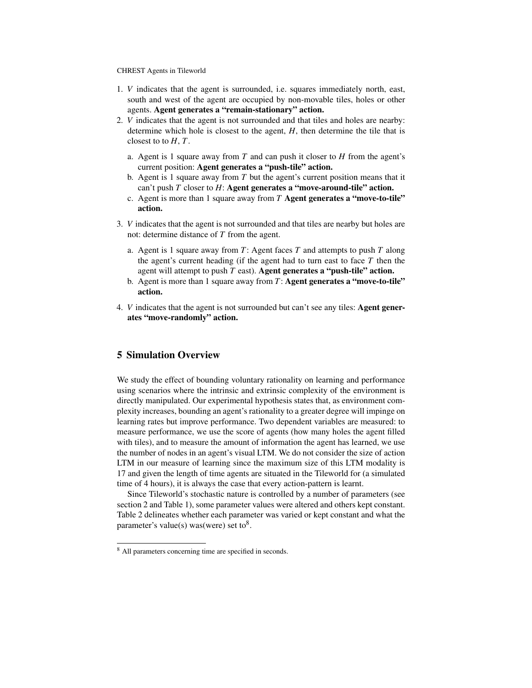- 1. *V* indicates that the agent is surrounded, i.e. squares immediately north, east, south and west of the agent are occupied by non-movable tiles, holes or other agents. Agent generates a "remain-stationary" action.
- 2. *V* indicates that the agent is not surrounded and that tiles and holes are nearby: determine which hole is closest to the agent, *H*, then determine the tile that is closest to to *H*, *T*.
	- a. Agent is 1 square away from *T* and can push it closer to *H* from the agent's current position: Agent generates a "push-tile" action.
	- b. Agent is 1 square away from *T* but the agent's current position means that it can't push *T* closer to *H*: Agent generates a "move-around-tile" action.
	- c. Agent is more than 1 square away from *T* Agent generates a "move-to-tile" action.
- 3. *V* indicates that the agent is not surrounded and that tiles are nearby but holes are not: determine distance of *T* from the agent.
	- a. Agent is 1 square away from *T*: Agent faces *T* and attempts to push *T* along the agent's current heading (if the agent had to turn east to face *T* then the agent will attempt to push  $T$  east). Agent generates a "push-tile" action.
	- b. Agent is more than 1 square away from *T*: Agent generates a "move-to-tile" action.
- 4. *V* indicates that the agent is not surrounded but can't see any tiles: Agent generates "move-randomly" action.

# 5 Simulation Overview

We study the effect of bounding voluntary rationality on learning and performance using scenarios where the intrinsic and extrinsic complexity of the environment is directly manipulated. Our experimental hypothesis states that, as environment complexity increases, bounding an agent's rationality to a greater degree will impinge on learning rates but improve performance. Two dependent variables are measured: to measure performance, we use the score of agents (how many holes the agent filled with tiles), and to measure the amount of information the agent has learned, we use the number of nodes in an agent's visual LTM. We do not consider the size of action LTM in our measure of learning since the maximum size of this LTM modality is 17 and given the length of time agents are situated in the Tileworld for (a simulated time of 4 hours), it is always the case that every action-pattern is learnt.

Since Tileworld's stochastic nature is controlled by a number of parameters (see section 2 and Table 1), some parameter values were altered and others kept constant. Table 2 delineates whether each parameter was varied or kept constant and what the parameter's value(s) was (were) set to<sup>8</sup>.

<sup>8</sup> All parameters concerning time are specified in seconds.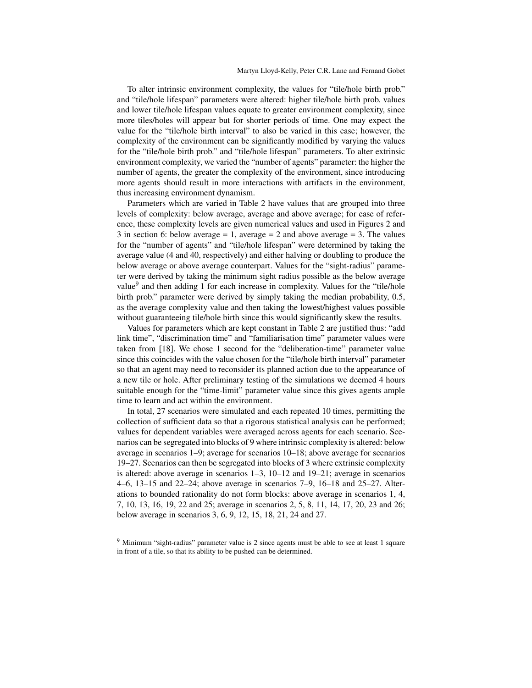To alter intrinsic environment complexity, the values for "tile/hole birth prob." and "tile/hole lifespan" parameters were altered: higher tile/hole birth prob. values and lower tile/hole lifespan values equate to greater environment complexity, since more tiles/holes will appear but for shorter periods of time. One may expect the value for the "tile/hole birth interval" to also be varied in this case; however, the complexity of the environment can be significantly modified by varying the values for the "tile/hole birth prob." and "tile/hole lifespan" parameters. To alter extrinsic environment complexity, we varied the "number of agents" parameter: the higher the number of agents, the greater the complexity of the environment, since introducing more agents should result in more interactions with artifacts in the environment, thus increasing environment dynamism.

Parameters which are varied in Table 2 have values that are grouped into three levels of complexity: below average, average and above average; for ease of reference, these complexity levels are given numerical values and used in Figures 2 and 3 in section 6: below average  $= 1$ , average  $= 2$  and above average  $= 3$ . The values for the "number of agents" and "tile/hole lifespan" were determined by taking the average value (4 and 40, respectively) and either halving or doubling to produce the below average or above average counterpart. Values for the "sight-radius" parameter were derived by taking the minimum sight radius possible as the below average value<sup>9</sup> and then adding 1 for each increase in complexity. Values for the "tile/hole birth prob." parameter were derived by simply taking the median probability, 0.5, as the average complexity value and then taking the lowest/highest values possible without guaranteeing tile/hole birth since this would significantly skew the results.

Values for parameters which are kept constant in Table 2 are justified thus: "add link time", "discrimination time" and "familiarisation time" parameter values were taken from [18]. We chose 1 second for the "deliberation-time" parameter value since this coincides with the value chosen for the "tile/hole birth interval" parameter so that an agent may need to reconsider its planned action due to the appearance of a new tile or hole. After preliminary testing of the simulations we deemed 4 hours suitable enough for the "time-limit" parameter value since this gives agents ample time to learn and act within the environment.

In total, 27 scenarios were simulated and each repeated 10 times, permitting the collection of sufficient data so that a rigorous statistical analysis can be performed; values for dependent variables were averaged across agents for each scenario. Scenarios can be segregated into blocks of 9 where intrinsic complexity is altered: below average in scenarios 1–9; average for scenarios 10–18; above average for scenarios 19–27. Scenarios can then be segregated into blocks of 3 where extrinsic complexity is altered: above average in scenarios 1–3, 10–12 and 19–21; average in scenarios 4–6, 13–15 and 22–24; above average in scenarios 7–9, 16–18 and 25–27. Alterations to bounded rationality do not form blocks: above average in scenarios 1, 4, 7, 10, 13, 16, 19, 22 and 25; average in scenarios 2, 5, 8, 11, 14, 17, 20, 23 and 26; below average in scenarios 3, 6, 9, 12, 15, 18, 21, 24 and 27.

<sup>&</sup>lt;sup>9</sup> Minimum "sight-radius" parameter value is 2 since agents must be able to see at least 1 square in front of a tile, so that its ability to be pushed can be determined.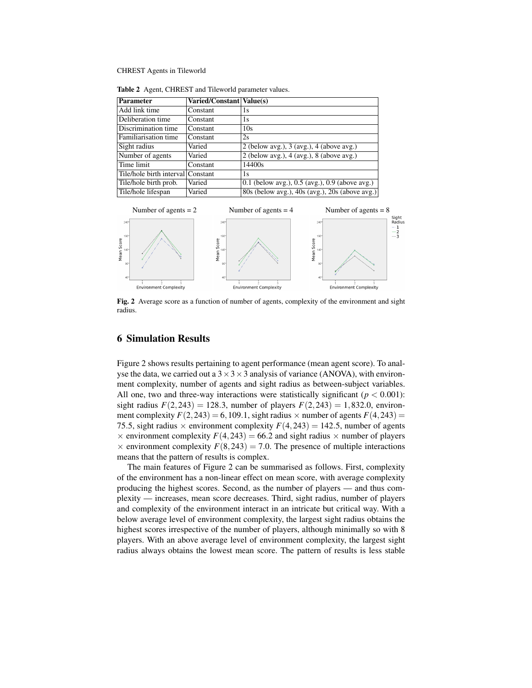Table 2 Agent, CHREST and Tileworld parameter values.

| <b>Parameter</b>                  | Varied/Constant   Value(s) |                                                      |
|-----------------------------------|----------------------------|------------------------------------------------------|
| Add link time                     | Constant                   | 1s                                                   |
| Deliberation time                 | Constant                   | 1s                                                   |
| Discrimination time               | Constant                   | 10s                                                  |
| Familiarisation time              | Constant                   | 2s                                                   |
| Sight radius                      | Varied                     | 2 (below avg.), $3$ (avg.), $4$ (above avg.)         |
| Number of agents                  | Varied                     | 2 (below avg.), $4$ (avg.), $8$ (above avg.)         |
| Time limit                        | Constant                   | 14400s                                               |
| Tile/hole birth interval Constant |                            | 1s                                                   |
| Tile/hole birth prob.             | Varied                     | $0.1$ (below avg.), $0.5$ (avg.), $0.9$ (above avg.) |
| Tile/hole lifespan                | Varied                     | $80s$ (below avg.), $40s$ (avg.), $20s$ (above avg.) |



Fig. 2 Average score as a function of number of agents, complexity of the environment and sight radius.

## 6 Simulation Results

Figure 2 shows results pertaining to agent performance (mean agent score). To analyse the data, we carried out a  $3 \times 3 \times 3$  analysis of variance (ANOVA), with environment complexity, number of agents and sight radius as between-subject variables. All one, two and three-way interactions were statistically significant ( $p < 0.001$ ): sight radius  $F(2,243) = 128.3$ , number of players  $F(2,243) = 1,832.0$ , environment complexity  $F(2,243) = 6,109.1$ , sight radius  $\times$  number of agents  $F(4,243) =$ 75.5, sight radius  $\times$  environment complexity  $F(4,243) = 142.5$ , number of agents  $\times$  environment complexity  $F(4,243) = 66.2$  and sight radius  $\times$  number of players  $\times$  environment complexity  $F(8,243) = 7.0$ . The presence of multiple interactions means that the pattern of results is complex.

The main features of Figure 2 can be summarised as follows. First, complexity of the environment has a non-linear effect on mean score, with average complexity producing the highest scores. Second, as the number of players — and thus complexity — increases, mean score decreases. Third, sight radius, number of players and complexity of the environment interact in an intricate but critical way. With a below average level of environment complexity, the largest sight radius obtains the highest scores irrespective of the number of players, although minimally so with 8 players. With an above average level of environment complexity, the largest sight radius always obtains the lowest mean score. The pattern of results is less stable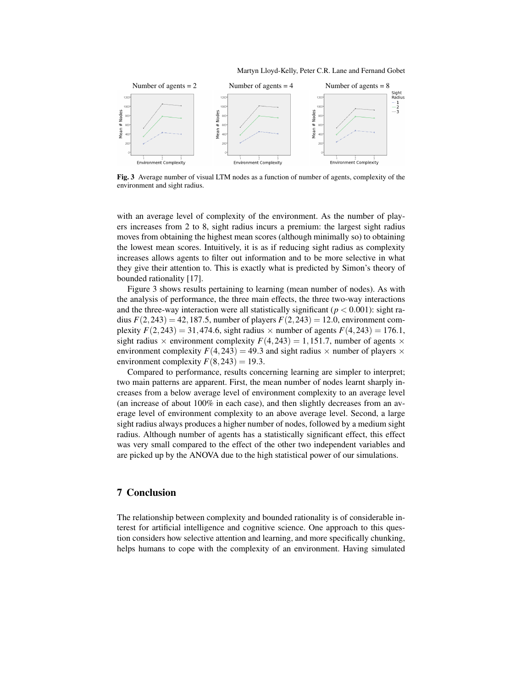Martyn Lloyd-Kelly, Peter C.R. Lane and Fernand Gobet



Fig. 3 Average number of visual LTM nodes as a function of number of agents, complexity of the environment and sight radius.

with an average level of complexity of the environment. As the number of players increases from 2 to 8, sight radius incurs a premium: the largest sight radius moves from obtaining the highest mean scores (although minimally so) to obtaining the lowest mean scores. Intuitively, it is as if reducing sight radius as complexity increases allows agents to filter out information and to be more selective in what they give their attention to. This is exactly what is predicted by Simon's theory of bounded rationality [17].

Figure 3 shows results pertaining to learning (mean number of nodes). As with the analysis of performance, the three main effects, the three two-way interactions and the three-way interaction were all statistically significant ( $p < 0.001$ ): sight radius  $F(2,243) = 42,187.5$ , number of players  $F(2,243) = 12.0$ , environment complexity  $F(2,243) = 31,474.6$ , sight radius  $\times$  number of agents  $F(4,243) = 176.1$ , sight radius  $\times$  environment complexity  $F(4,243) = 1,151.7$ , number of agents  $\times$ environment complexity  $F(4,243) = 49.3$  and sight radius  $\times$  number of players  $\times$ environment complexity  $F(8,243) = 19.3$ .

Compared to performance, results concerning learning are simpler to interpret; two main patterns are apparent. First, the mean number of nodes learnt sharply increases from a below average level of environment complexity to an average level (an increase of about 100% in each case), and then slightly decreases from an average level of environment complexity to an above average level. Second, a large sight radius always produces a higher number of nodes, followed by a medium sight radius. Although number of agents has a statistically significant effect, this effect was very small compared to the effect of the other two independent variables and are picked up by the ANOVA due to the high statistical power of our simulations.

# 7 Conclusion

The relationship between complexity and bounded rationality is of considerable interest for artificial intelligence and cognitive science. One approach to this question considers how selective attention and learning, and more specifically chunking, helps humans to cope with the complexity of an environment. Having simulated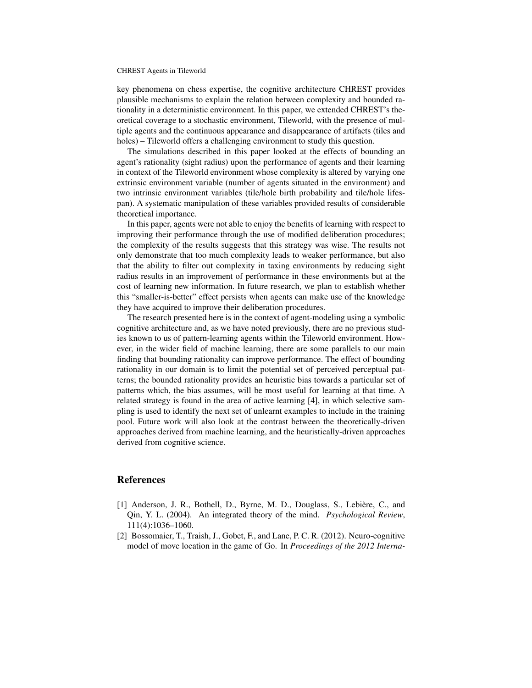key phenomena on chess expertise, the cognitive architecture CHREST provides plausible mechanisms to explain the relation between complexity and bounded rationality in a deterministic environment. In this paper, we extended CHREST's theoretical coverage to a stochastic environment, Tileworld, with the presence of multiple agents and the continuous appearance and disappearance of artifacts (tiles and holes) – Tileworld offers a challenging environment to study this question.

The simulations described in this paper looked at the effects of bounding an agent's rationality (sight radius) upon the performance of agents and their learning in context of the Tileworld environment whose complexity is altered by varying one extrinsic environment variable (number of agents situated in the environment) and two intrinsic environment variables (tile/hole birth probability and tile/hole lifespan). A systematic manipulation of these variables provided results of considerable theoretical importance.

In this paper, agents were not able to enjoy the benefits of learning with respect to improving their performance through the use of modified deliberation procedures; the complexity of the results suggests that this strategy was wise. The results not only demonstrate that too much complexity leads to weaker performance, but also that the ability to filter out complexity in taxing environments by reducing sight radius results in an improvement of performance in these environments but at the cost of learning new information. In future research, we plan to establish whether this "smaller-is-better" effect persists when agents can make use of the knowledge they have acquired to improve their deliberation procedures.

The research presented here is in the context of agent-modeling using a symbolic cognitive architecture and, as we have noted previously, there are no previous studies known to us of pattern-learning agents within the Tileworld environment. However, in the wider field of machine learning, there are some parallels to our main finding that bounding rationality can improve performance. The effect of bounding rationality in our domain is to limit the potential set of perceived perceptual patterns; the bounded rationality provides an heuristic bias towards a particular set of patterns which, the bias assumes, will be most useful for learning at that time. A related strategy is found in the area of active learning [4], in which selective sampling is used to identify the next set of unlearnt examples to include in the training pool. Future work will also look at the contrast between the theoretically-driven approaches derived from machine learning, and the heuristically-driven approaches derived from cognitive science.

## References

- [1] Anderson, J. R., Bothell, D., Byrne, M. D., Douglass, S., Lebiere, C., and ` Qin, Y. L. (2004). An integrated theory of the mind. *Psychological Review*, 111(4):1036–1060.
- [2] Bossomaier, T., Traish, J., Gobet, F., and Lane, P. C. R. (2012). Neuro-cognitive model of move location in the game of Go. In *Proceedings of the 2012 Interna-*